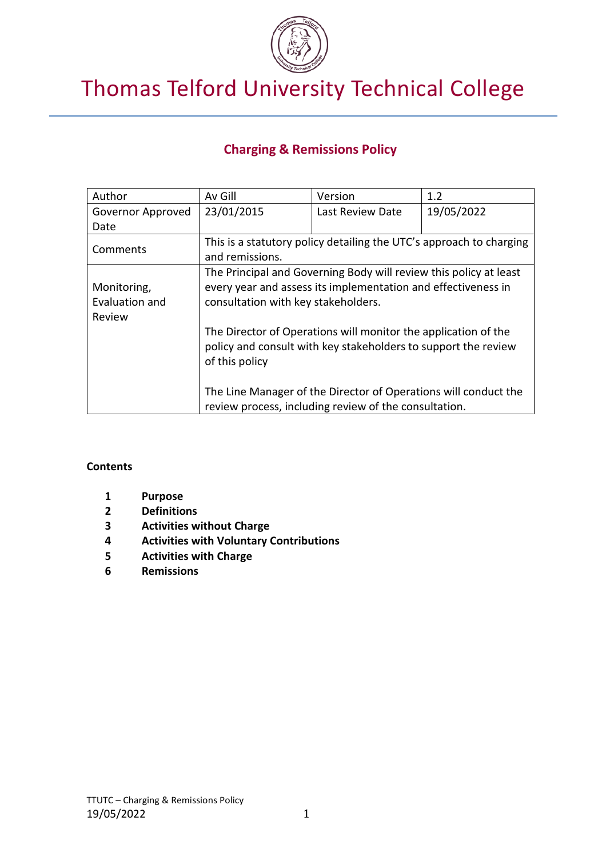

# Thomas Telford University Technical College

# **Charging & Remissions Policy**

| Author            | Av Gill                                                                                                                  | Version          | 1.2        |
|-------------------|--------------------------------------------------------------------------------------------------------------------------|------------------|------------|
| Governor Approved | 23/01/2015                                                                                                               | Last Review Date | 19/05/2022 |
| Date              |                                                                                                                          |                  |            |
| Comments          | This is a statutory policy detailing the UTC's approach to charging                                                      |                  |            |
|                   | and remissions.                                                                                                          |                  |            |
|                   | The Principal and Governing Body will review this policy at least                                                        |                  |            |
| Monitoring,       | every year and assess its implementation and effectiveness in                                                            |                  |            |
| Evaluation and    | consultation with key stakeholders.                                                                                      |                  |            |
| Review            |                                                                                                                          |                  |            |
|                   | The Director of Operations will monitor the application of the                                                           |                  |            |
|                   | policy and consult with key stakeholders to support the review<br>of this policy                                         |                  |            |
|                   |                                                                                                                          |                  |            |
|                   |                                                                                                                          |                  |            |
|                   | The Line Manager of the Director of Operations will conduct the<br>review process, including review of the consultation. |                  |            |
|                   |                                                                                                                          |                  |            |

#### **Contents**

- **1 Purpose**
- **2 Definitions**
- **3 Activities without Charge**
- **4 Activities with Voluntary Contributions**
- **5 Activities with Charge**
- **6 Remissions**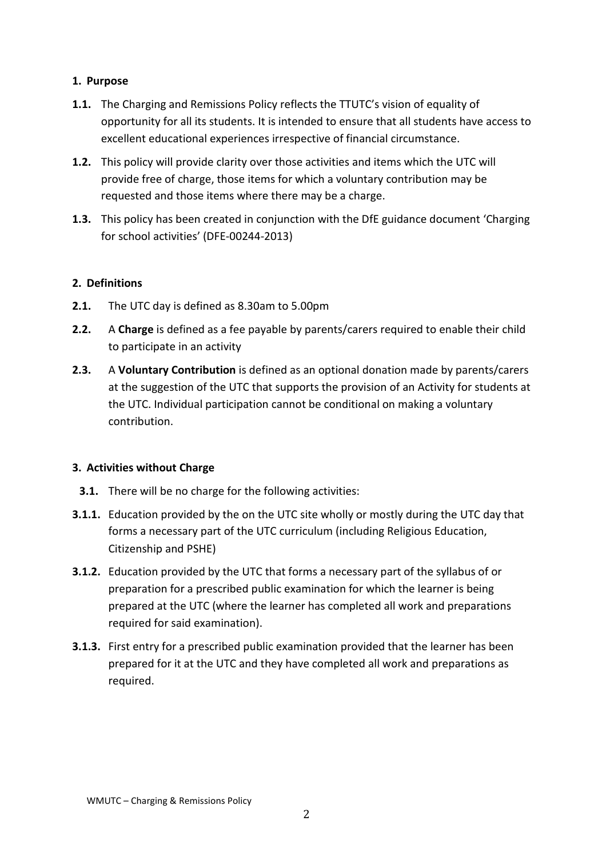## **1. Purpose**

- **1.1.** The Charging and Remissions Policy reflects the TTUTC's vision of equality of opportunity for all its students. It is intended to ensure that all students have access to excellent educational experiences irrespective of financial circumstance.
- **1.2.** This policy will provide clarity over those activities and items which the UTC will provide free of charge, those items for which a voluntary contribution may be requested and those items where there may be a charge.
- **1.3.** This policy has been created in conjunction with the DfE guidance document 'Charging for school activities' (DFE-00244-2013)

#### **2. Definitions**

- **2.1.** The UTC day is defined as 8.30am to 5.00pm
- **2.2.** A **Charge** is defined as a fee payable by parents/carers required to enable their child to participate in an activity
- **2.3.** A **Voluntary Contribution** is defined as an optional donation made by parents/carers at the suggestion of the UTC that supports the provision of an Activity for students at the UTC. Individual participation cannot be conditional on making a voluntary contribution.

#### **3. Activities without Charge**

- **3.1.** There will be no charge for the following activities:
- **3.1.1.** Education provided by the on the UTC site wholly or mostly during the UTC day that forms a necessary part of the UTC curriculum (including Religious Education, Citizenship and PSHE)
- **3.1.2.** Education provided by the UTC that forms a necessary part of the syllabus of or preparation for a prescribed public examination for which the learner is being prepared at the UTC (where the learner has completed all work and preparations required for said examination).
- **3.1.3.** First entry for a prescribed public examination provided that the learner has been prepared for it at the UTC and they have completed all work and preparations as required.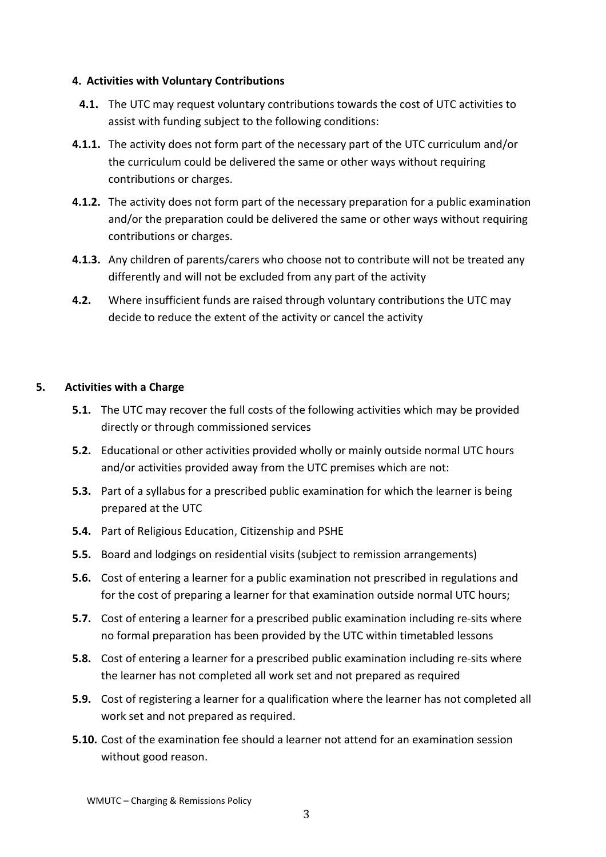#### **4. Activities with Voluntary Contributions**

- **4.1.** The UTC may request voluntary contributions towards the cost of UTC activities to assist with funding subject to the following conditions:
- **4.1.1.** The activity does not form part of the necessary part of the UTC curriculum and/or the curriculum could be delivered the same or other ways without requiring contributions or charges.
- **4.1.2.** The activity does not form part of the necessary preparation for a public examination and/or the preparation could be delivered the same or other ways without requiring contributions or charges.
- **4.1.3.** Any children of parents/carers who choose not to contribute will not be treated any differently and will not be excluded from any part of the activity
- **4.2.** Where insufficient funds are raised through voluntary contributions the UTC may decide to reduce the extent of the activity or cancel the activity

## **5. Activities with a Charge**

- **5.1.** The UTC may recover the full costs of the following activities which may be provided directly or through commissioned services
- **5.2.** Educational or other activities provided wholly or mainly outside normal UTC hours and/or activities provided away from the UTC premises which are not:
- **5.3.** Part of a syllabus for a prescribed public examination for which the learner is being prepared at the UTC
- **5.4.** Part of Religious Education, Citizenship and PSHE
- **5.5.** Board and lodgings on residential visits (subject to remission arrangements)
- **5.6.** Cost of entering a learner for a public examination not prescribed in regulations and for the cost of preparing a learner for that examination outside normal UTC hours;
- **5.7.** Cost of entering a learner for a prescribed public examination including re-sits where no formal preparation has been provided by the UTC within timetabled lessons
- **5.8.** Cost of entering a learner for a prescribed public examination including re-sits where the learner has not completed all work set and not prepared as required
- **5.9.** Cost of registering a learner for a qualification where the learner has not completed all work set and not prepared as required.
- **5.10.** Cost of the examination fee should a learner not attend for an examination session without good reason.